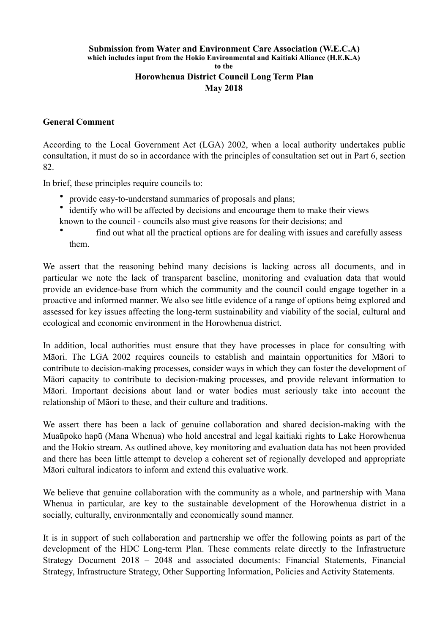## **Submission from Water and Environment Care Association (W.E.C.A) which includes input from the Hokio Environmental and Kaitiaki Alliance (H.E.K.A) to the Horowhenua District Council Long Term Plan May 2018**

## **General Comment**

According to the Local Government Act (LGA) 2002, when a local authority undertakes public consultation, it must do so in accordance with the principles of consultation set out in Part 6, section 82.

In brief, these principles require councils to:

- provide easy-to-understand summaries of proposals and plans;
- identify who will be affected by decisions and encourage them to make their views
- known to the council councils also must give reasons for their decisions; and
- find out what all the practical options are for dealing with issues and carefully assess them.

We assert that the reasoning behind many decisions is lacking across all documents, and in particular we note the lack of transparent baseline, monitoring and evaluation data that would provide an evidence-base from which the community and the council could engage together in a proactive and informed manner. We also see little evidence of a range of options being explored and assessed for key issues affecting the long-term sustainability and viability of the social, cultural and ecological and economic environment in the Horowhenua district.

In addition, local authorities must ensure that they have processes in place for consulting with Māori. The LGA 2002 requires councils to establish and maintain opportunities for Māori to contribute to decision-making processes, consider ways in which they can foster the development of Māori capacity to contribute to decision-making processes, and provide relevant information to Māori. Important decisions about land or water bodies must seriously take into account the relationship of Māori to these, and their culture and traditions.

We assert there has been a lack of genuine collaboration and shared decision-making with the Muaūpoko hapū (Mana Whenua) who hold ancestral and legal kaitiaki rights to Lake Horowhenua and the Hokio stream. As outlined above, key monitoring and evaluation data has not been provided and there has been little attempt to develop a coherent set of regionally developed and appropriate Māori cultural indicators to inform and extend this evaluative work.

We believe that genuine collaboration with the community as a whole, and partnership with Mana Whenua in particular, are key to the sustainable development of the Horowhenua district in a socially, culturally, environmentally and economically sound manner.

It is in support of such collaboration and partnership we offer the following points as part of the development of the HDC Long-term Plan. These comments relate directly to the Infrastructure Strategy Document 2018 – 2048 and associated documents: Financial Statements, Financial Strategy, Infrastructure Strategy, Other Supporting Information, Policies and Activity Statements.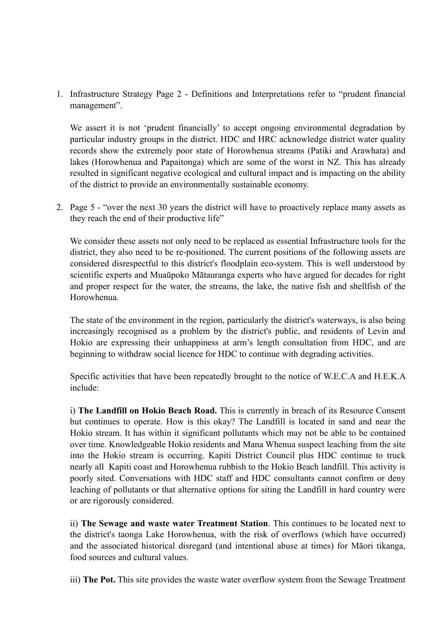1. Infrastructure Strategy Page 2 - Definitions and Interpretations refer to "prudent financial management".

We assert it is not 'prudent financially' to accept ongoing environmental degradation by particular industry groups in the district. HDC and HRC acknowledge district water quality records show the extremely poor state of Horowhenua streams (Patiki and Arawhata) and lakes (Horowhenua and Papaitonga) which are some of the worst in NZ. This has already resulted in significant negative ecological and cultural impact and is impacting on the ability of the district to provide an environmentally sustainable economy.

2. Page 5 - "over the next 30 years the district will have to proactively replace many assets as they reach the end of their productive life"

We consider these assets not only need to be replaced as essential Infrastructure tools for the district, they also need to be re-positioned. The current positions of the following assets are considered disrespectful to this district's floodplain eco-system. This is well understood by scientific experts and Muaūpoko Mātauranga experts who have argued for decades for right and proper respect for the water, the streams, the lake, the native fish and shellfish of the Horowhenua.

The state of the environment in the region, particularly the district's waterways, is also being increasingly recognised as a problem by the district's public, and residents of Levin and Hokio are expressing their unhappiness at arm's length consultation from HDC, and are beginning to withdraw social licence for HDC to continue with degrading activities.

Specific activities that have been repeatedly brought to the notice of W.E.C.A and H.E.K.A include:

i) **The Landfill on Hokio Beach Road.** This is currently in breach of its Resource Consent but continues to operate. How is this okay? The Landfill is located in sand and near the Hokio stream. It has within it significant pollutants which may not be able to be contained over time. Knowledgeable Hokio residents and Mana Whenua suspect leaching from the site into the Hokio stream is occurring. Kapiti District Council plus HDC continue to truck nearly all Kapiti coast and Horowhenua rubbish to the Hokio Beach landfill. This activity is poorly sited. Conversations with HDC staff and HDC consultants cannot confirm or deny leaching of pollutants or that alternative options for siting the Landfill in hard country were or are rigorously considered.

ii) **The Sewage and waste water Treatment Station**. This continues to be located next to the district's taonga Lake Horowhenua, with the risk of overflows (which have occurred) and the associated historical disregard (and intentional abuse at times) for Māori tikanga, food sources and cultural values.

iii) **The Pot.** This site provides the waste water overflow system from the Sewage Treatment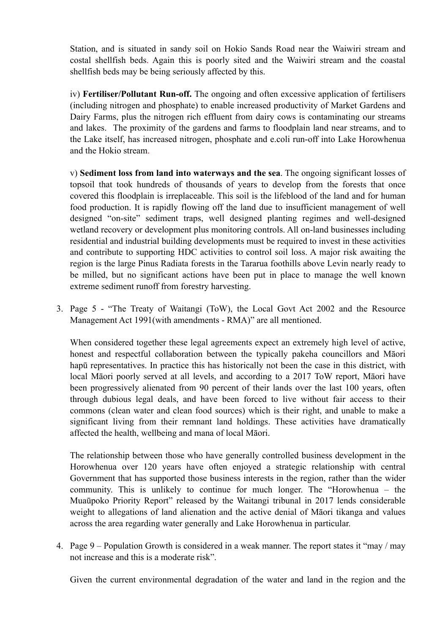Station, and is situated in sandy soil on Hokio Sands Road near the Waiwiri stream and costal shellfish beds. Again this is poorly sited and the Waiwiri stream and the coastal shellfish beds may be being seriously affected by this.

iv) **Fertiliser/Pollutant Run-off.** The ongoing and often excessive application of fertilisers (including nitrogen and phosphate) to enable increased productivity of Market Gardens and Dairy Farms, plus the nitrogen rich effluent from dairy cows is contaminating our streams and lakes. The proximity of the gardens and farms to floodplain land near streams, and to the Lake itself, has increased nitrogen, phosphate and e.coli run-off into Lake Horowhenua and the Hokio stream.

v) **Sediment loss from land into waterways and the sea**. The ongoing significant losses of topsoil that took hundreds of thousands of years to develop from the forests that once covered this floodplain is irreplaceable. This soil is the lifeblood of the land and for human food production. It is rapidly flowing off the land due to insufficient management of well designed "on-site" sediment traps, well designed planting regimes and well-designed wetland recovery or development plus monitoring controls. All on-land businesses including residential and industrial building developments must be required to invest in these activities and contribute to supporting HDC activities to control soil loss. A major risk awaiting the region is the large Pinus Radiata forests in the Tararua foothills above Levin nearly ready to be milled, but no significant actions have been put in place to manage the well known extreme sediment runoff from forestry harvesting.

3. Page 5 - "The Treaty of Waitangi (ToW), the Local Govt Act 2002 and the Resource Management Act 1991(with amendments - RMA)" are all mentioned.

When considered together these legal agreements expect an extremely high level of active, honest and respectful collaboration between the typically pakeha councillors and Māori hapū representatives. In practice this has historically not been the case in this district, with local Māori poorly served at all levels, and according to a 2017 ToW report, Māori have been progressively alienated from 90 percent of their lands over the last 100 years, often through dubious legal deals, and have been forced to live without fair access to their commons (clean water and clean food sources) which is their right, and unable to make a significant living from their remnant land holdings. These activities have dramatically affected the health, wellbeing and mana of local Māori.

The relationship between those who have generally controlled business development in the Horowhenua over 120 years have often enjoyed a strategic relationship with central Government that has supported those business interests in the region, rather than the wider community. This is unlikely to continue for much longer. The "Horowhenua – the Muaūpoko Priority Report" released by the Waitangi tribunal in 2017 lends considerable weight to allegations of land alienation and the active denial of Māori tikanga and values across the area regarding water generally and Lake Horowhenua in particular.

4. Page 9 – Population Growth is considered in a weak manner. The report states it "may / may not increase and this is a moderate risk".

Given the current environmental degradation of the water and land in the region and the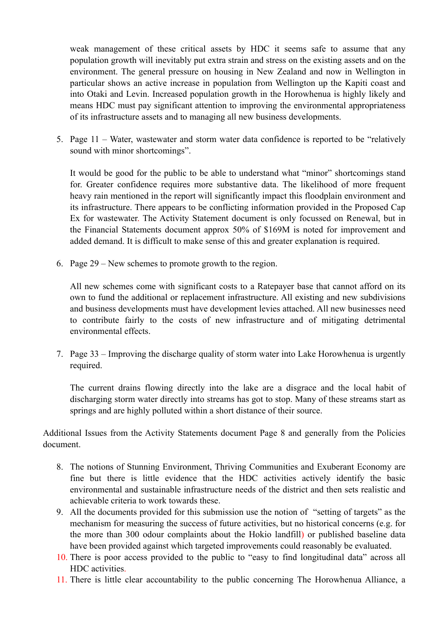weak management of these critical assets by HDC it seems safe to assume that any population growth will inevitably put extra strain and stress on the existing assets and on the environment. The general pressure on housing in New Zealand and now in Wellington in particular shows an active increase in population from Wellington up the Kapiti coast and into Otaki and Levin. Increased population growth in the Horowhenua is highly likely and means HDC must pay significant attention to improving the environmental appropriateness of its infrastructure assets and to managing all new business developments.

5. Page 11 – Water, wastewater and storm water data confidence is reported to be "relatively sound with minor shortcomings".

It would be good for the public to be able to understand what "minor" shortcomings stand for. Greater confidence requires more substantive data. The likelihood of more frequent heavy rain mentioned in the report will significantly impact this floodplain environment and its infrastructure. There appears to be conflicting information provided in the Proposed Cap Ex for wastewater. The Activity Statement document is only focussed on Renewal, but in the Financial Statements document approx 50% of \$169M is noted for improvement and added demand. It is difficult to make sense of this and greater explanation is required.

6. Page 29 – New schemes to promote growth to the region.

All new schemes come with significant costs to a Ratepayer base that cannot afford on its own to fund the additional or replacement infrastructure. All existing and new subdivisions and business developments must have development levies attached. All new businesses need to contribute fairly to the costs of new infrastructure and of mitigating detrimental environmental effects.

7. Page 33 – Improving the discharge quality of storm water into Lake Horowhenua is urgently required.

The current drains flowing directly into the lake are a disgrace and the local habit of discharging storm water directly into streams has got to stop. Many of these streams start as springs and are highly polluted within a short distance of their source.

Additional Issues from the Activity Statements document Page 8 and generally from the Policies document.

- 8. The notions of Stunning Environment, Thriving Communities and Exuberant Economy are fine but there is little evidence that the HDC activities actively identify the basic environmental and sustainable infrastructure needs of the district and then sets realistic and achievable criteria to work towards these.
- 9. All the documents provided for this submission use the notion of "setting of targets" as the mechanism for measuring the success of future activities, but no historical concerns (e.g. for the more than 300 odour complaints about the Hokio landfill) or published baseline data have been provided against which targeted improvements could reasonably be evaluated.
- 10. There is poor access provided to the public to "easy to find longitudinal data" across all HDC activities.
- 11. There is little clear accountability to the public concerning The Horowhenua Alliance, a